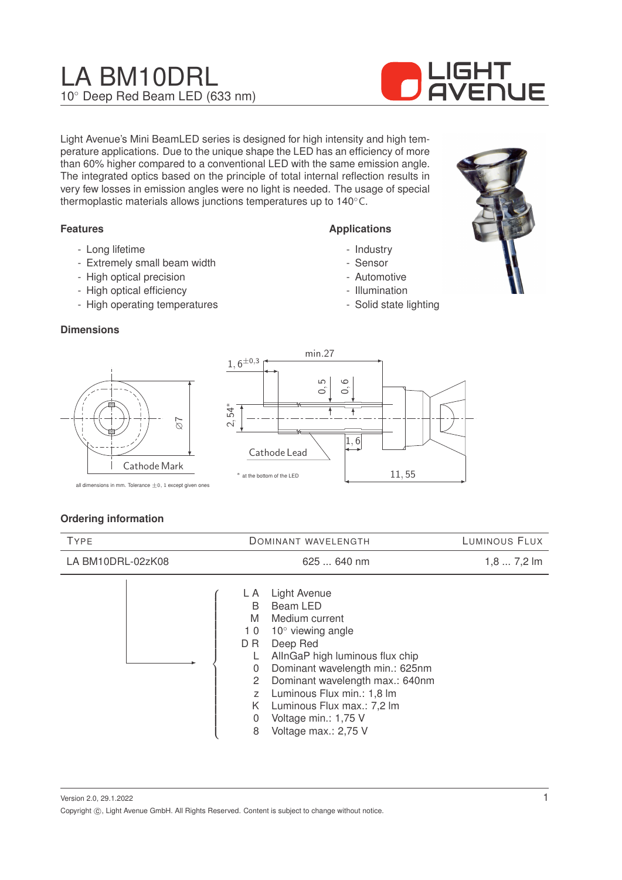# LA BM10DRL 10◦ Deep Red Beam LED (633 nm)



Light Avenue's Mini BeamLED series is designed for high intensity and high temperature applications. Due to the unique shape the LED has an efficiency of more than 60% higher compared to a conventional LED with the same emission angle. The integrated optics based on the principle of total internal reflection results in very few losses in emission angles were no light is needed. The usage of special thermoplastic materials allows junctions temperatures up to 140◦C.

## **Features**

- Long lifetime
- Extremely small beam width
- High optical precision
- High optical efficiency
- High operating temperatures

#### **Dimensions**



**Applications**

- Industry - Sensor - Automotive - Illumination - Solid state lighting

all dimensions in mm. Tolerance  $\pm 0$ , 1 except given ones

Cathode Mark

 $\overline{\sigma}$ 

# **Ordering information**

| <b>TYPE</b>       | <b>DOMINANT WAVELENGTH</b>                                                                                                                                                                                                                                                                                                                                                                   | LUMINOUS FLUX |
|-------------------|----------------------------------------------------------------------------------------------------------------------------------------------------------------------------------------------------------------------------------------------------------------------------------------------------------------------------------------------------------------------------------------------|---------------|
| LA BM10DRL-02zK08 | 625  640 nm                                                                                                                                                                                                                                                                                                                                                                                  | $1,87,2$ lm   |
|                   | Light Avenue<br>L A<br>Beam LED<br>B<br>M<br>Medium current<br>$10^{\circ}$ viewing angle<br>10<br>Deep Red<br>D R<br>AllnGaP high luminous flux chip<br>Dominant wavelength min.: 625nm<br>$\mathbf{0}$<br>Dominant wavelength max.: 640nm<br>2<br>Luminous Flux min.: 1,8 lm<br>Z<br>Luminous Flux max.: 7,2 lm<br>K.<br>Voltage min.: 1,75 V<br>$\mathbf{0}$<br>Voltage max.: 2,75 V<br>8 |               |

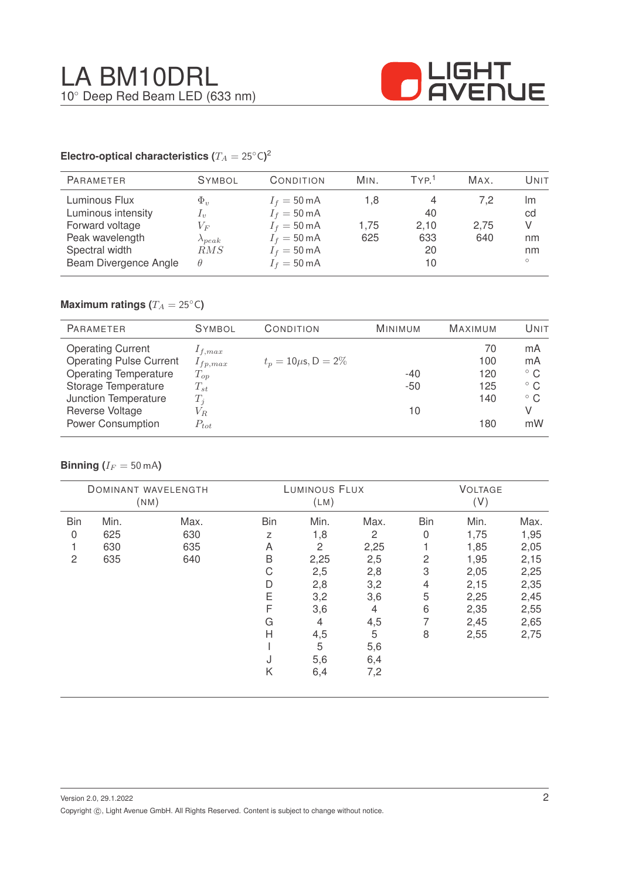

## **Electro-optical characteristics (T\_A = 25^{\circ} \text{C}</math>)<sup>2</sup>**

|                                                                                                                           |                              |                              | MAX.               | Unit                                 |
|---------------------------------------------------------------------------------------------------------------------------|------------------------------|------------------------------|--------------------|--------------------------------------|
| $I_f = 50 \text{ mA}$<br>$I_f = 50 \text{ mA}$<br>$I_f = 50 \text{ mA}$<br>$I_f = 50 \text{ mA}$<br>$I_f = 50 \text{ mA}$ | 1.8<br>1.75<br>625           | 4<br>40<br>2,10<br>633<br>20 | 7.2<br>2,75<br>640 | Im<br>cd<br>V<br>nm<br>nm<br>$\circ$ |
|                                                                                                                           | RMS<br>$I_f = 50 \text{ mA}$ |                              | 10                 |                                      |

# **Maximum ratings (** $T_A = 25$ °C)

| <b>PARAMETER</b>               | <b>SYMBOL</b> | CONDITION                 | <b>MINIMUM</b> | <b>MAXIMUM</b> | UNIT         |
|--------------------------------|---------------|---------------------------|----------------|----------------|--------------|
| <b>Operating Current</b>       | $1_{f,max}$   |                           |                | 70             | mA           |
| <b>Operating Pulse Current</b> | $I_{fp,max}$  | $t_p = 10 \mu s, D = 2\%$ |                | 100            | mA           |
| <b>Operating Temperature</b>   | $T_{op}$      |                           | $-40$          | 120            | $^{\circ}$ C |
| Storage Temperature            | $T_{st}$      |                           | $-50$          | 125            | $^{\circ}$ C |
| Junction Temperature           | $T_i$         |                           |                | 140            | $^{\circ}$ C |
| Reverse Voltage                | $V_{R.}$      |                           | 10             |                | V            |
| <b>Power Consumption</b>       | $P_{tot}$     |                           |                | 180            | mW           |

## **Binning** ( $I_F = 50$  mA)

| <b>DOMINANT WAVELENGTH</b><br>(NM) |      | LUMINOUS FLUX<br>(LM) |     |                | <b>VOLTAGE</b><br>(V) |            |      |      |
|------------------------------------|------|-----------------------|-----|----------------|-----------------------|------------|------|------|
|                                    |      |                       |     |                |                       |            |      |      |
| <b>Bin</b>                         | Min. | Max.                  | Bin | Min.           | Max.                  | <b>Bin</b> | Min. | Max. |
| 0                                  | 625  | 630                   | Z   | 1,8            | 2                     | 0          | 1,75 | 1,95 |
|                                    | 630  | 635                   | A   | $\overline{c}$ | 2,25                  |            | 1,85 | 2,05 |
| $\overline{2}$                     | 635  | 640                   | B   | 2,25           | 2,5                   | 2          | 1,95 | 2,15 |
|                                    |      |                       | С   | 2,5            | 2,8                   | 3          | 2,05 | 2,25 |
|                                    |      |                       | D   | 2,8            | 3,2                   | 4          | 2,15 | 2,35 |
|                                    |      |                       | Ε   | 3,2            | 3,6                   | 5          | 2,25 | 2,45 |
|                                    |      |                       | F   | 3,6            | $\overline{4}$        | 6          | 2,35 | 2,55 |
|                                    |      |                       | G   | 4              | 4,5                   | 7          | 2,45 | 2,65 |
|                                    |      |                       | H   | 4,5            | 5                     | 8          | 2,55 | 2,75 |
|                                    |      |                       |     | 5              | 5,6                   |            |      |      |
|                                    |      |                       | J   | 5,6            | 6,4                   |            |      |      |
|                                    |      |                       | Κ   | 6,4            | 7,2                   |            |      |      |
|                                    |      |                       |     |                |                       |            |      |      |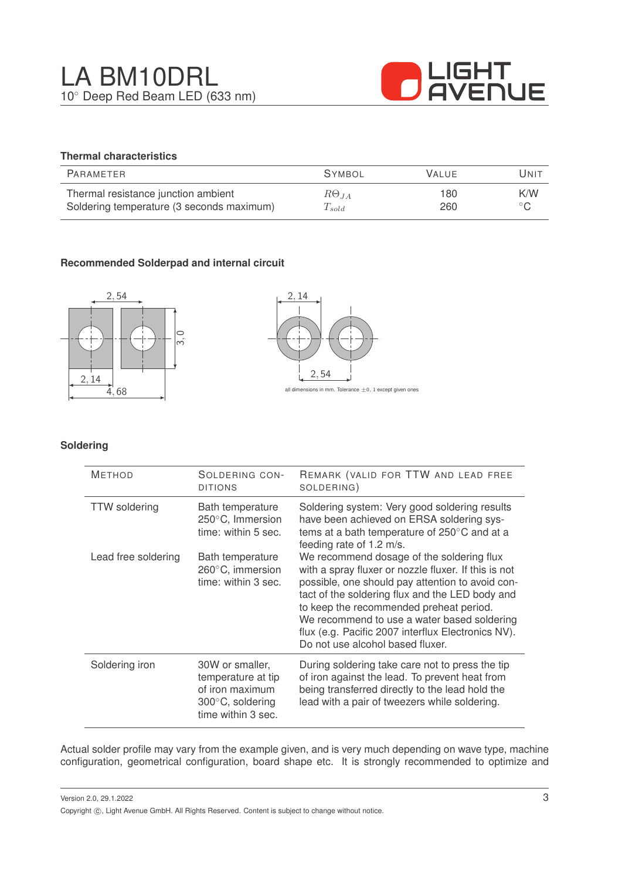

# **Thermal characteristics**

| PARAMETER                                 | <b>SYMBOL</b>        | <b>VALUE</b> | UNIT           |
|-------------------------------------------|----------------------|--------------|----------------|
| Thermal resistance junction ambient       | $R\Theta_{JA}$       | 180          | K/W            |
| Soldering temperature (3 seconds maximum) | $\mathcal{L}_{sold}$ | 260          | $\circ$ $\cap$ |

# **Recommended Solderpad and internal circuit**





#### **Soldering**

| <b>METHOD</b>        | SOLDERING CON-<br><b>DITIONS</b>                                                                   | REMARK (VALID FOR TTW AND LEAD FREE<br>SOLDERING)                                                                                                                                                                                                                                                                                                                                            |
|----------------------|----------------------------------------------------------------------------------------------------|----------------------------------------------------------------------------------------------------------------------------------------------------------------------------------------------------------------------------------------------------------------------------------------------------------------------------------------------------------------------------------------------|
| <b>TTW</b> soldering | Bath temperature<br>250°C, Immersion<br>time: within 5 sec.                                        | Soldering system: Very good soldering results<br>have been achieved on ERSA soldering sys-<br>tems at a bath temperature of 250°C and at a<br>feeding rate of 1.2 m/s.                                                                                                                                                                                                                       |
| Lead free soldering  | Bath temperature<br>260°C, immersion<br>time: within 3 sec.                                        | We recommend dosage of the soldering flux<br>with a spray fluxer or nozzle fluxer. If this is not<br>possible, one should pay attention to avoid con-<br>tact of the soldering flux and the LED body and<br>to keep the recommended preheat period.<br>We recommend to use a water based soldering<br>flux (e.g. Pacific 2007 interflux Electronics NV).<br>Do not use alcohol based fluxer. |
| Soldering iron       | 30W or smaller,<br>temperature at tip<br>of iron maximum<br>300°C, soldering<br>time within 3 sec. | During soldering take care not to press the tip<br>of iron against the lead. To prevent heat from<br>being transferred directly to the lead hold the<br>lead with a pair of tweezers while soldering.                                                                                                                                                                                        |

Actual solder profile may vary from the example given, and is very much depending on wave type, machine configuration, geometrical configuration, board shape etc. It is strongly recommended to optimize and

Version 2.0, 29.1.2022 Copyright  $\circled{c}$ , Light Avenue GmbH. All Rights Reserved. Content is subject to change without notice.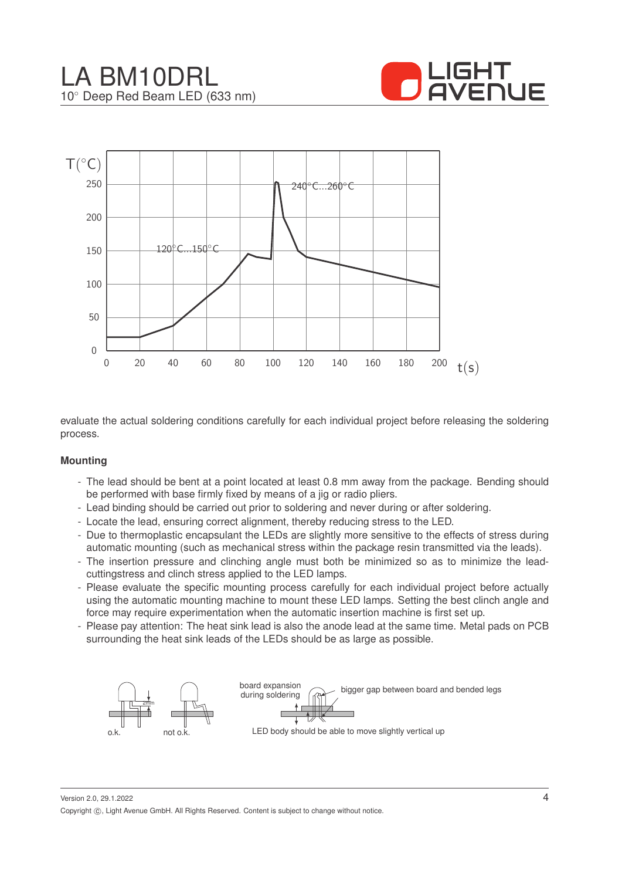



evaluate the actual soldering conditions carefully for each individual project before releasing the soldering process.

#### **Mounting**

- The lead should be bent at a point located at least 0.8 mm away from the package. Bending should be performed with base firmly fixed by means of a jig or radio pliers.
- Lead binding should be carried out prior to soldering and never during or after soldering.
- Locate the lead, ensuring correct alignment, thereby reducing stress to the LED.
- Due to thermoplastic encapsulant the LEDs are slightly more sensitive to the effects of stress during automatic mounting (such as mechanical stress within the package resin transmitted via the leads).
- The insertion pressure and clinching angle must both be minimized so as to minimize the leadcuttingstress and clinch stress applied to the LED lamps.
- Please evaluate the specific mounting process carefully for each individual project before actually using the automatic mounting machine to mount these LED lamps. Setting the best clinch angle and force may require experimentation when the automatic insertion machine is first set up.
- Please pay attention: The heat sink lead is also the anode lead at the same time. Metal pads on PCB surrounding the heat sink leads of the LEDs should be as large as possible.



Version 2.0, 29.1.2022 Copyright ©, Light Avenue GmbH. All Rights Reserved. Content is subject to change without notice.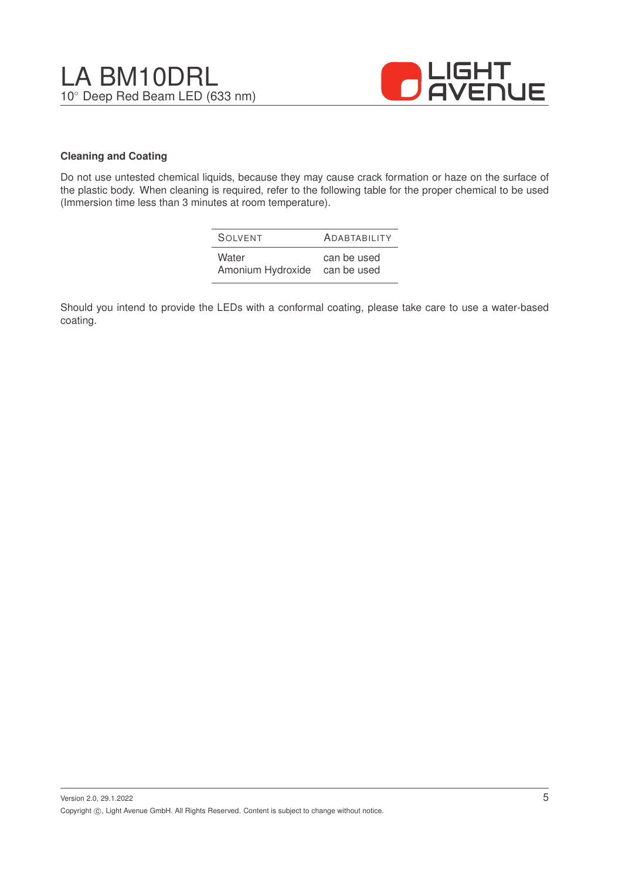

## **Cleaning and Coating**

Do not use untested chemical liquids, because they may cause crack formation or haze on the surface of the plastic body. When cleaning is required, refer to the following table for the proper chemical to be used (Immersion time less than 3 minutes at room temperature).

| SOIVENT           | <b>ADABTABILITY</b> |
|-------------------|---------------------|
| Water             | can be used         |
| Amonium Hydroxide | can be used         |

Should you intend to provide the LEDs with a conformal coating, please take care to use a water-based coating.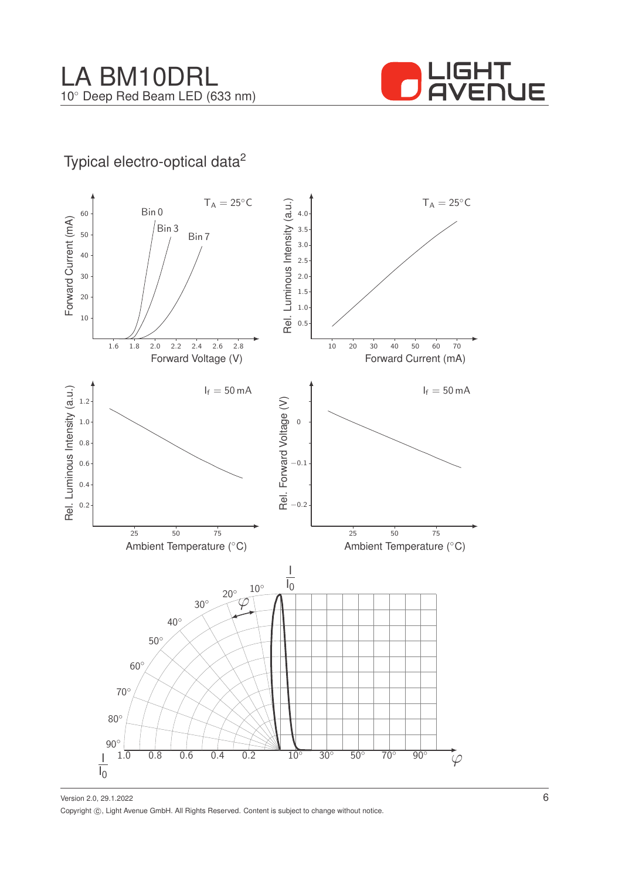

# Typical electro-optical data<sup>2</sup>



Version 2.0, 29.1.2022 Copyright ©, Light Avenue GmbH. All Rights Reserved. Content is subject to change without notice.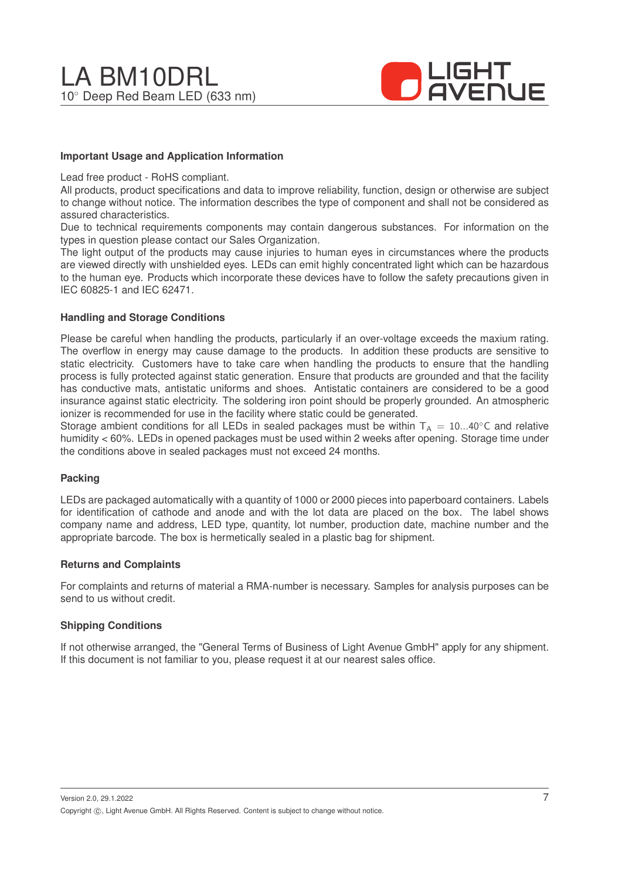

#### **Important Usage and Application Information**

Lead free product - RoHS compliant.

All products, product specifications and data to improve reliability, function, design or otherwise are subject to change without notice. The information describes the type of component and shall not be considered as assured characteristics.

Due to technical requirements components may contain dangerous substances. For information on the types in question please contact our Sales Organization.

The light output of the products may cause injuries to human eyes in circumstances where the products are viewed directly with unshielded eyes. LEDs can emit highly concentrated light which can be hazardous to the human eye. Products which incorporate these devices have to follow the safety precautions given in IEC 60825-1 and IEC 62471.

#### **Handling and Storage Conditions**

Please be careful when handling the products, particularly if an over-voltage exceeds the maxium rating. The overflow in energy may cause damage to the products. In addition these products are sensitive to static electricity. Customers have to take care when handling the products to ensure that the handling process is fully protected against static generation. Ensure that products are grounded and that the facility has conductive mats, antistatic uniforms and shoes. Antistatic containers are considered to be a good insurance against static electricity. The soldering iron point should be properly grounded. An atmospheric ionizer is recommended for use in the facility where static could be generated.

Storage ambient conditions for all LEDs in sealed packages must be within  $T_A = 10...40^\circ$ C and relative humidity < 60%. LEDs in opened packages must be used within 2 weeks after opening. Storage time under the conditions above in sealed packages must not exceed 24 months.

#### **Packing**

LEDs are packaged automatically with a quantity of 1000 or 2000 pieces into paperboard containers. Labels for identification of cathode and anode and with the lot data are placed on the box. The label shows company name and address, LED type, quantity, lot number, production date, machine number and the appropriate barcode. The box is hermetically sealed in a plastic bag for shipment.

#### **Returns and Complaints**

For complaints and returns of material a RMA-number is necessary. Samples for analysis purposes can be send to us without credit.

#### **Shipping Conditions**

If not otherwise arranged, the "General Terms of Business of Light Avenue GmbH" apply for any shipment. If this document is not familiar to you, please request it at our nearest sales office.